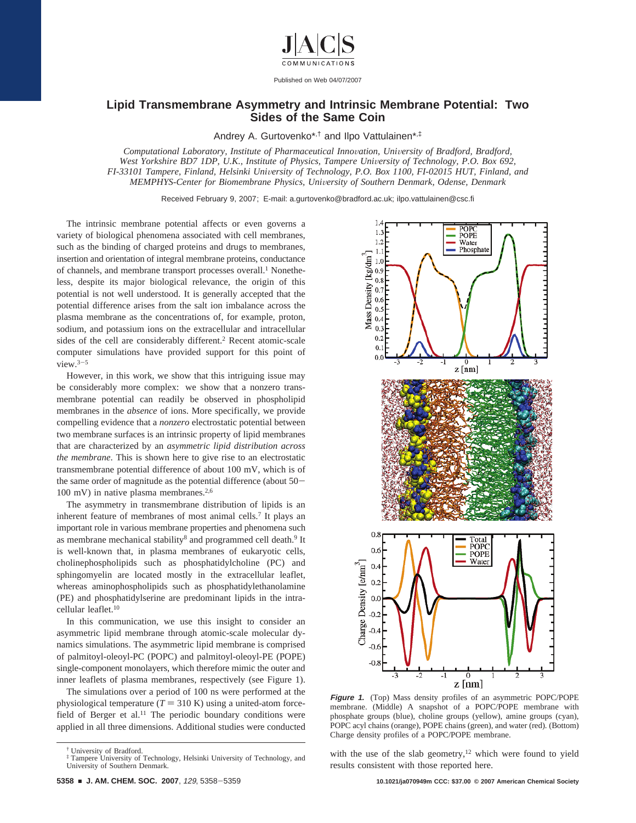

Published on Web 04/07/2007

## **Lipid Transmembrane Asymmetry and Intrinsic Membrane Potential: Two Sides of the Same Coin**

Andrey A. Gurtovenko\*,† and Ilpo Vattulainen\*,‡

*Computational Laboratory, Institute of Pharmaceutical Inno*V*ation, Uni*V*ersity of Bradford, Bradford, West Yorkshire BD7 1DP, U.K., Institute of Physics, Tampere University of Technology, P.O. Box 692, FI-33101 Tampere, Finland, Helsinki University of Technology, P.O. Box 1100, FI-02015 HUT, Finland, and MEMPHYS-Center for Biomembrane Physics, Uni*V*ersity of Southern Denmark, Odense, Denmark*

Received February 9, 2007; E-mail: a.gurtovenko@bradford.ac.uk; ilpo.vattulainen@csc.fi

The intrinsic membrane potential affects or even governs a variety of biological phenomena associated with cell membranes, such as the binding of charged proteins and drugs to membranes, insertion and orientation of integral membrane proteins, conductance of channels, and membrane transport processes overall.<sup>1</sup> Nonetheless, despite its major biological relevance, the origin of this potential is not well understood. It is generally accepted that the potential difference arises from the salt ion imbalance across the plasma membrane as the concentrations of, for example, proton, sodium, and potassium ions on the extracellular and intracellular sides of the cell are considerably different.<sup>2</sup> Recent atomic-scale computer simulations have provided support for this point of  $view.^{3-5}$ 

However, in this work, we show that this intriguing issue may be considerably more complex: we show that a nonzero transmembrane potential can readily be observed in phospholipid membranes in the *absence* of ions. More specifically, we provide compelling evidence that a *nonzero* electrostatic potential between two membrane surfaces is an intrinsic property of lipid membranes that are characterized by an *asymmetric lipid distribution across the membrane*. This is shown here to give rise to an electrostatic transmembrane potential difference of about 100 mV, which is of the same order of magnitude as the potential difference (about 50-  $100$  mV) in native plasma membranes.<sup>2,6</sup>

The asymmetry in transmembrane distribution of lipids is an inherent feature of membranes of most animal cells.<sup>7</sup> It plays an important role in various membrane properties and phenomena such as membrane mechanical stability<sup>8</sup> and programmed cell death.<sup>9</sup> It is well-known that, in plasma membranes of eukaryotic cells, cholinephospholipids such as phosphatidylcholine (PC) and sphingomyelin are located mostly in the extracellular leaflet, whereas aminophospholipids such as phosphatidylethanolamine (PE) and phosphatidylserine are predominant lipids in the intracellular leaflet.10

In this communication, we use this insight to consider an asymmetric lipid membrane through atomic-scale molecular dynamics simulations. The asymmetric lipid membrane is comprised of palmitoyl-oleoyl-PC (POPC) and palmitoyl-oleoyl-PE (POPE) single-component monolayers, which therefore mimic the outer and inner leaflets of plasma membranes, respectively (see Figure 1).

The simulations over a period of 100 ns were performed at the physiological temperature  $(T = 310 \text{ K})$  using a united-atom forcefield of Berger et al.<sup>11</sup> The periodic boundary conditions were applied in all three dimensions. Additional studies were conducted

University of Bradford.



**Figure 1.** (Top) Mass density profiles of an asymmetric POPC/POPE membrane. (Middle) A snapshot of a POPC/POPE membrane with phosphate groups (blue), choline groups (yellow), amine groups (cyan), POPC acyl chains (orange), POPE chains (green), and water (red). (Bottom) Charge density profiles of a POPC/POPE membrane.

with the use of the slab geometry, $12$  which were found to yield results consistent with those reported here.

<sup>‡</sup> Tampere University of Technology, Helsinki University of Technology, and University of Southern Denmark.